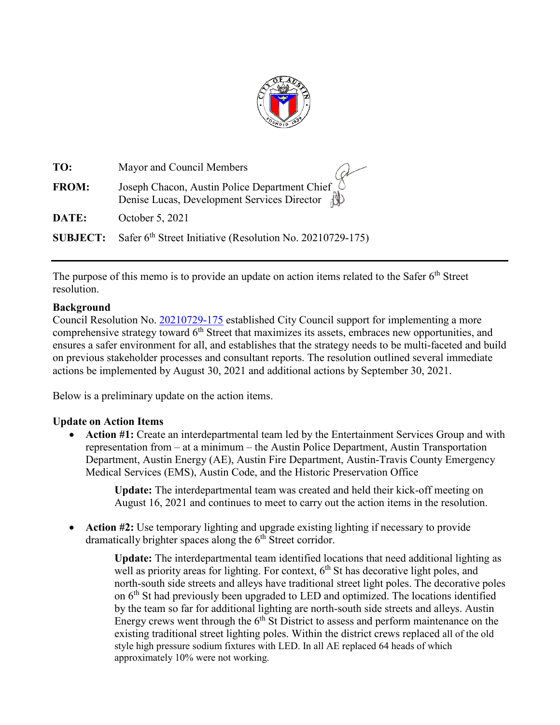

| TO:          | Mayor and Council Members                                                                  |
|--------------|--------------------------------------------------------------------------------------------|
| <b>FROM:</b> | Joseph Chacon, Austin Police Department Chief (Denise Lucas, Development Services Director |
| DATE:        | October 5, 2021                                                                            |
|              | <b>SUBJECT:</b> Safer 6 <sup>th</sup> Street Initiative (Resolution No. 20210729-175)      |

The purpose of this memo is to provide an update on action items related to the Safer  $6<sup>th</sup>$  Street resolution.

## **Background**

Council Resolution No. [20210729-175](https://www.austintexas.gov/edims/document.cfm?id=366330) established City Council support for implementing a more comprehensive strategy toward  $6<sup>th</sup>$  Street that maximizes its assets, embraces new opportunities, and ensures a safer environment for all, and establishes that the strategy needs to be multi-faceted and build on previous stakeholder processes and consultant reports. The resolution outlined several immediate actions be implemented by August 30, 2021 and additional actions by September 30, 2021.

Below is a preliminary update on the action items.

## **Update on Action Items**

• **Action #1:** Create an interdepartmental team led by the Entertainment Services Group and with representation from – at a minimum – the Austin Police Department, Austin Transportation Department, Austin Energy (AE), Austin Fire Department, Austin-Travis County Emergency Medical Services (EMS), Austin Code, and the Historic Preservation Office

**Update:** The interdepartmental team was created and held their kick-off meeting on August 16, 2021 and continues to meet to carry out the action items in the resolution.

• **Action #2:** Use temporary lighting and upgrade existing lighting if necessary to provide dramatically brighter spaces along the  $6<sup>th</sup>$  Street corridor.

> **Update:** The interdepartmental team identified locations that need additional lighting as well as priority areas for lighting. For context,  $6<sup>th</sup>$  St has decorative light poles, and north-south side streets and alleys have traditional street light poles. The decorative poles on  $6<sup>th</sup>$  St had previously been upgraded to LED and optimized. The locations identified by the team so far for additional lighting are north-south side streets and alleys. Austin Energy crews went through the  $6<sup>th</sup>$  St District to assess and perform maintenance on the existing traditional street lighting poles. Within the district crews replaced all of the old style high pressure sodium fixtures with LED. In all AE replaced 64 heads of which approximately 10% were not working.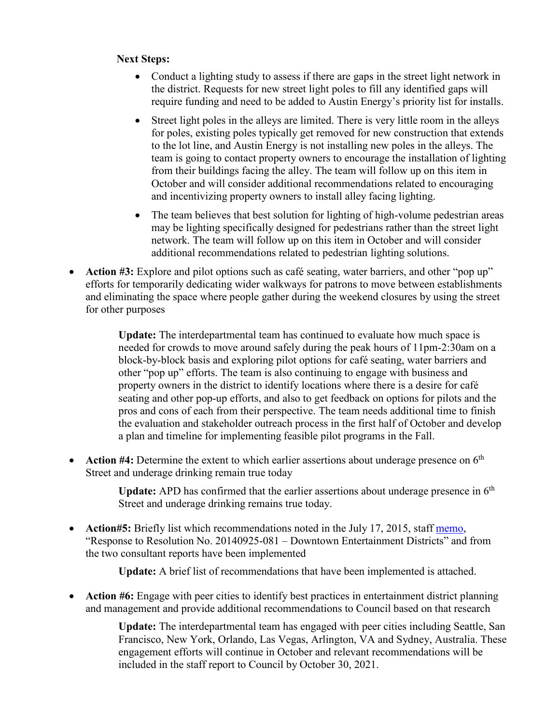## **Next Steps:**

- Conduct a lighting study to assess if there are gaps in the street light network in the district. Requests for new street light poles to fill any identified gaps will require funding and need to be added to Austin Energy's priority list for installs.
- Street light poles in the alleys are limited. There is very little room in the alleys for poles, existing poles typically get removed for new construction that extends to the lot line, and Austin Energy is not installing new poles in the alleys. The team is going to contact property owners to encourage the installation of lighting from their buildings facing the alley. The team will follow up on this item in October and will consider additional recommendations related to encouraging and incentivizing property owners to install alley facing lighting.
- The team believes that best solution for lighting of high-volume pedestrian areas may be lighting specifically designed for pedestrians rather than the street light network. The team will follow up on this item in October and will consider additional recommendations related to pedestrian lighting solutions.
- Action #3: Explore and pilot options such as café seating, water barriers, and other "pop up" efforts for temporarily dedicating wider walkways for patrons to move between establishments and eliminating the space where people gather during the weekend closures by using the street for other purposes

**Update:** The interdepartmental team has continued to evaluate how much space is needed for crowds to move around safely during the peak hours of 11pm-2:30am on a block-by-block basis and exploring pilot options for café seating, water barriers and other "pop up" efforts. The team is also continuing to engage with business and property owners in the district to identify locations where there is a desire for café seating and other pop-up efforts, and also to get feedback on options for pilots and the pros and cons of each from their perspective. The team needs additional time to finish the evaluation and stakeholder outreach process in the first half of October and develop a plan and timeline for implementing feasible pilot programs in the Fall.

• Action #4: Determine the extent to which earlier assertions about underage presence on 6<sup>th</sup> Street and underage drinking remain true today

> **Update:** APD has confirmed that the earlier assertions about underage presence in 6<sup>th</sup> Street and underage drinking remains true today.

• **Action#5:** Briefly list which recommendations noted in the July 17, 2015, staff [memo,](http://www.austintexas.gov/edims/pio/document.cfm?id=235129) "Response to Resolution No. 20140925-081 – Downtown Entertainment Districts" and from the two consultant reports have been implemented

**Update:** A brief list of recommendations that have been implemented is attached.

• **Action #6:** Engage with peer cities to identify best practices in entertainment district planning and management and provide additional recommendations to Council based on that research

> **Update:** The interdepartmental team has engaged with peer cities including Seattle, San Francisco, New York, Orlando, Las Vegas, Arlington, VA and Sydney, Australia. These engagement efforts will continue in October and relevant recommendations will be included in the staff report to Council by October 30, 2021.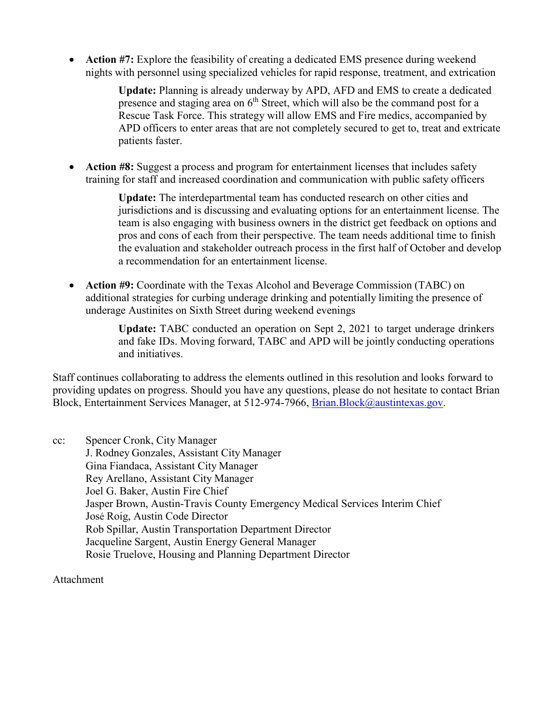• **Action #7:** Explore the feasibility of creating a dedicated EMS presence during weekend nights with personnel using specialized vehicles for rapid response, treatment, and extrication

> **Update:** Planning is already underway by APD, AFD and EMS to create a dedicated presence and staging area on  $6<sup>th</sup>$  Street, which will also be the command post for a Rescue Task Force. This strategy will allow EMS and Fire medics, accompanied by APD officers to enter areas that are not completely secured to get to, treat and extricate patients faster.

• **Action #8:** Suggest a process and program for entertainment licenses that includes safety training for staff and increased coordination and communication with public safety officers

> **Update:** The interdepartmental team has conducted research on other cities and jurisdictions and is discussing and evaluating options for an entertainment license. The team is also engaging with business owners in the district get feedback on options and pros and cons of each from their perspective. The team needs additional time to finish the evaluation and stakeholder outreach process in the first half of October and develop a recommendation for an entertainment license.

• **Action #9:** Coordinate with the Texas Alcohol and Beverage Commission (TABC) on additional strategies for curbing underage drinking and potentially limiting the presence of underage Austinites on Sixth Street during weekend evenings

> **Update:** TABC conducted an operation on Sept 2, 2021 to target underage drinkers and fake IDs. Moving forward, TABC and APD will be jointly conducting operations and initiatives.

Staff continues collaborating to address the elements outlined in this resolution and looks forward to providing updates on progress. Should you have any questions, please do not hesitate to contact Brian Block, Entertainment Services Manager, at 512-974-7966, Brian. Block@austintexas.gov.

cc: Spencer Cronk, City Manager J. Rodney Gonzales, Assistant City Manager Gina Fiandaca, Assistant City Manager Rey Arellano, Assistant City Manager Joel G. Baker, Austin Fire Chief Jasper Brown, Austin-Travis County Emergency Medical Services Interim Chief José Roig, Austin Code Director Rob Spillar, Austin Transportation Department Director Jacqueline Sargent, Austin Energy General Manager Rosie Truelove, Housing and Planning Department Director

Attachment